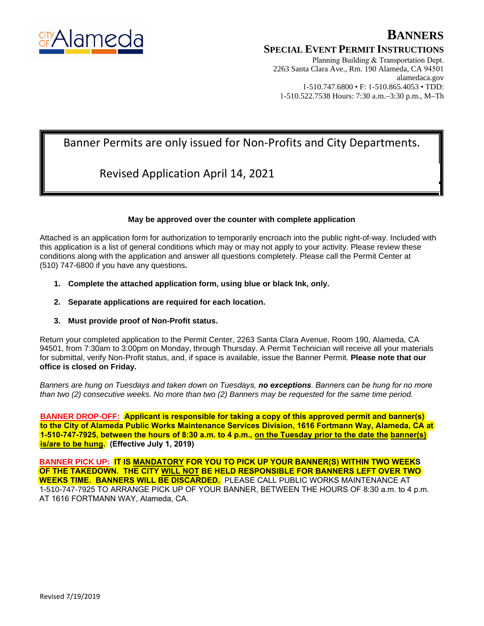

## **BANNERS**

#### **SPECIAL EVENT PERMIT INSTRUCTIONS**

Planning Building & Transportation Dept. 2263 Santa Clara Ave., Rm. 190 Alameda, CA 94501 alamedaca.gov 1-510.747.6800 • F: 1-510.865.4053 • TDD: 1-510.522.7538 Hours: 7:30 a.m.–3:30 p.m., M–Th

## Banner Permits are only issued for Non-Profits and City Departments.

## Revised Application April 14, 2021

#### **May be approved over the counter with complete application**

Attached is an application form for authorization to temporarily encroach into the public right-of-way. Included with this application is a list of general conditions which may or may not apply to your activity. Please review these conditions along with the application and answer all questions completely. Please call the Permit Center at (510) 747-6800 if you have any questions**.**

- **1. Complete the attached application form, using blue or black Ink, only.**
- **2. Separate applications are required for each location.**
- **3. Must provide proof of Non-Profit status.**

Return your completed application to the Permit Center, 2263 Santa Clara Avenue, Room 190, Alameda, CA 94501, from 7:30am to 3:00pm on Monday, through Thursday. A Permit Technician will receive all your materials for submittal, verify Non-Profit status, and, if space is available, issue the Banner Permit. **Please note that our office is closed on Friday.**

*Banners are hung on Tuesdays and taken down on Tuesdays, no exceptions. Banners can be hung for no more than two (2) consecutive weeks. No more than two (2) Banners may be requested for the same time period.* 

**BANNER DROP-OFF: Applicant is responsible for taking a copy of this approved permit and banner(s) to the City of Alameda Public Works Maintenance Services Division, 1616 Fortmann Way, Alameda, CA at 1-510-747-7925, between the hours of 8:30 a.m. to 4 p.m., on the Tuesday prior to the date the banner(s) is/are to be hung. (Effective July 1, 2019)**

**BANNER PICK UP: IT IS MANDATORY FOR YOU TO PICK UP YOUR BANNER(S) WITHIN TWO WEEKS OF THE TAKEDOWN. THE CITY WILL NOT BE HELD RESPONSIBLE FOR BANNERS LEFT OVER TWO WEEKS TIME. BANNERS WILL BE DISCARDED.** PLEASE CALL PUBLIC WORKS MAINTENANCE AT 1-510-747-7925 TO ARRANGE PICK UP OF YOUR BANNER, BETWEEN THE HOURS OF 8:30 a.m. to 4 p.m. AT 1616 FORTMANN WAY, Alameda, CA.